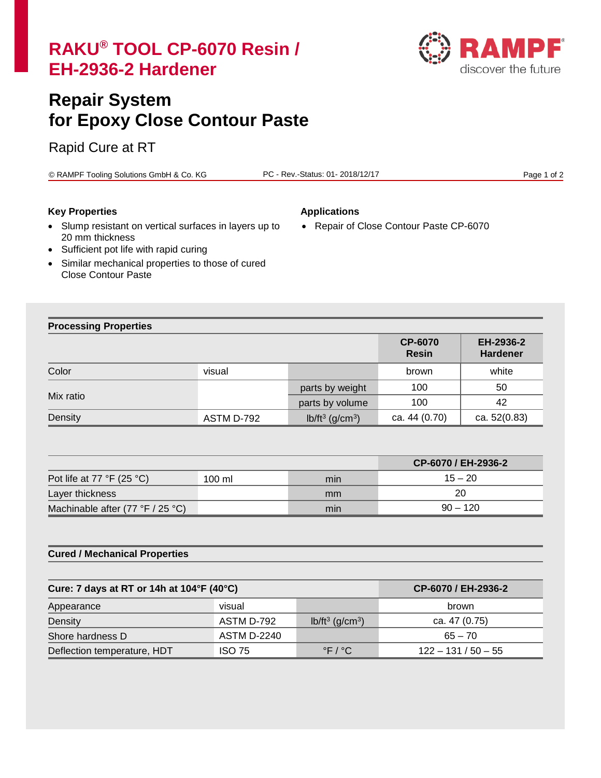# **RAKU® TOOL CP-6070 Resin / EH-2936-2 Hardener**



# **Repair System for Epoxy Close Contour Paste**

# Rapid Cure at RT

© RAMPF Tooling Solutions GmbH & Co. KG PC - Rev.-Status: 01- 2018/12/17 Page 1 of 2

# **Key Properties Applications**

• Repair of Close Contour Paste CP-6070

- Slump resistant on vertical surfaces in layers up to 20 mm thickness
- Sufficient pot life with rapid curing
- Similar mechanical properties to those of cured Close Contour Paste

# **Processing Properties**

|           |            |                                | <b>CP-6070</b><br><b>Resin</b> | EH-2936-2<br><b>Hardener</b> |
|-----------|------------|--------------------------------|--------------------------------|------------------------------|
| Color     | visual     |                                | brown                          | white                        |
| Mix ratio |            | parts by weight                | 100                            | 50                           |
|           |            | parts by volume                | 100                            | 42                           |
| Density   | ASTM D-792 | $lb/ft^3$ (g/cm <sup>3</sup> ) | ca. 44 (0.70)                  | ca. 52(0.83)                 |

|                                             |        |     | CP-6070 / EH-2936-2 |
|---------------------------------------------|--------|-----|---------------------|
| Pot life at 77 $\degree$ F (25 $\degree$ C) | 100 ml | min | $15 - 20$           |
| Layer thickness                             |        | mm  | 20                  |
| Machinable after $(77 °F / 25 °C)$          |        | min | $90 - 120$          |

# **Cured / Mechanical Properties**

| Cure: 7 days at RT or 14h at 104°F (40°C) |               |                                                    | CP-6070 / EH-2936-2   |
|-------------------------------------------|---------------|----------------------------------------------------|-----------------------|
| Appearance                                | visual        |                                                    | brown                 |
| Density                                   | ASTM D-792    | $lb/ft^3$ (g/cm <sup>3</sup> )                     | ca. 47 (0.75)         |
| Shore hardness D                          | ASTM D-2240   |                                                    | $65 - 70$             |
| Deflection temperature, HDT               | <b>ISO 75</b> | $\mathsf{P} \mathsf{F} \neq \mathsf{P} \mathsf{C}$ | $122 - 131 / 50 - 55$ |